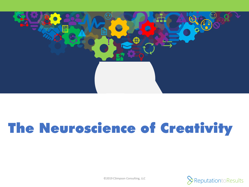

# The Neuroscience of Creativity

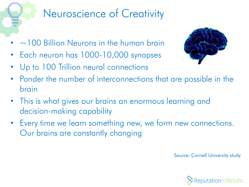## Neuroscience of Creativity

- $\sim$  100 Billion Neurons in the human brain
- Each neuron has 1000-10,000 synapses
- Up to 100 Trillion neural connections



- Ponder the number of interconnections that are possible in the brain
- This is what gives our brains an enormous learning and decision-making capability
- Every time we learn something new, we form new connections. Our brains are constantly changing

Source: Cornell University study

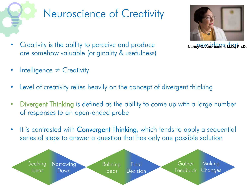

#### Neuroscience of Creativity



• Creativity is the ability to perceive and produce are somehow valuable (originality & usefulness)

**Nancy C. Andreasen, M.D., Ph.D.**

- Intelligence  $\neq$  Creativity
- Level of creativity relies heavily on the concept of divergent thinking
- Divergent Thinking is defined as the ability to come up with a large number of responses to an open-ended probe
- It is contrasted with Convergent Thinking, which tends to apply a sequential series of steps to answer a question that has only one possible solution

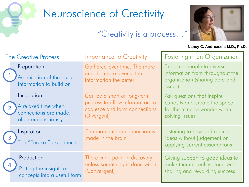

### Neuroscience of Creativity

"Creativity is a process…"



**Nancy C. Andreasen, M.D., Ph.D.**

|     | <b>The Creative Process</b>                                                       | <b>Importance to Creativity</b>                                                                                | <b>Fostering in an Organization</b>                                                                           |
|-----|-----------------------------------------------------------------------------------|----------------------------------------------------------------------------------------------------------------|---------------------------------------------------------------------------------------------------------------|
|     | Preparation<br>Assimilation of the basic<br>information to build on               | Gathered over time. The more<br>and the more diverse the<br>information the better                             | Exposing people to diverse<br>information from throughout the<br>organization (sharing data and<br>issues)    |
|     | Incubation<br>A relaxed time when<br>connections are made,<br>often unconsciously | Can be a short or long-term<br>process to allow information to<br>coalesce and form connections<br>(Divergent) | Ask questions that inspire<br>curiosity and create the space<br>for the mind to wonder when<br>solving issues |
| (3) | Inspiration<br>The "Eureka!" experience                                           | The moment the connection is<br>made in the brain                                                              | Listening to new and radical<br>ideas without judgement or<br>applying current assumptions                    |
|     | Production<br>Putting the insights or<br>concepts into a useful form              | There is no point in discovery<br>unless something is done with it<br>(Convergent)                             | Giving support to good ideas to<br>make them a reality along with<br>sharing and rewarding success            |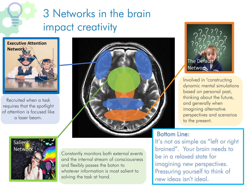#### 3 Networks in the brain impact creativity



Recruited when a task requires that the spotlight of attention is focused like a laser beam.





Constantly monitors both external events and the internal stream of consciousness and flexibly passes the baton to whatever information is most salient to solving the task at hand.



Involved in "constructing dynamic mental simulations based on personal past, thinking about the future, and generally when imagining alternative perspectives and scenarios to the present.

#### Bottom Line:

It's not as simple as "left or right brained". Your brain needs to be in a relaxed state for imagining new perspectives. Pressuring yourself to think of new ideas isn't ideal.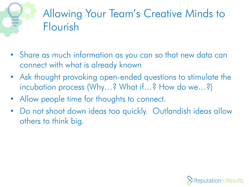

- Share as much information as you can so that new data can connect with what is already known
- Ask thought provoking open-ended questions to stimulate the incubation process (Why…? What if…? How do we…?)
- Allow people time for thoughts to connect.
- Do not shoot down ideas too quickly. Outlandish ideas allow others to think big.